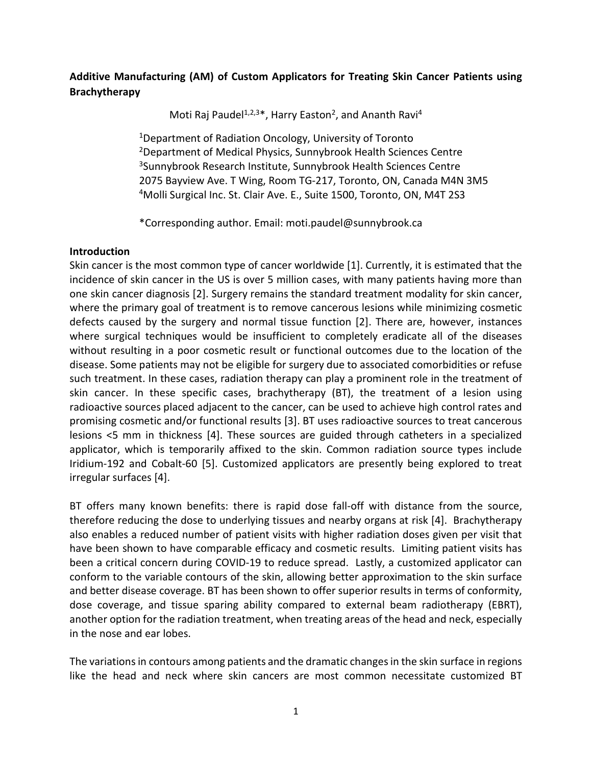# **Additive Manufacturing (AM) of Custom Applicators for Treating Skin Cancer Patients using Brachytherapy**

Moti Raj Paudel<sup>1,2,3\*</sup>, Harry Easton<sup>2</sup>, and Ananth Ravi<sup>4</sup>

<sup>1</sup>Department of Radiation Oncology, University of Toronto 2Department of Medical Physics, Sunnybrook Health Sciences Centre 3Sunnybrook Research Institute, Sunnybrook Health Sciences Centre 2075 Bayview Ave. T Wing, Room TG-217, Toronto, ON, Canada M4N 3M5 4Molli Surgical Inc. St. Clair Ave. E., Suite 1500, Toronto, ON, M4T 2S3

\*Corresponding author. Email: moti.paudel@sunnybrook.ca

# **Introduction**

Skin cancer is the most common type of cancer worldwide [1]. Currently, it is estimated that the incidence of skin cancer in the US is over 5 million cases, with many patients having more than one skin cancer diagnosis [2]. Surgery remains the standard treatment modality for skin cancer, where the primary goal of treatment is to remove cancerous lesions while minimizing cosmetic defects caused by the surgery and normal tissue function [2]. There are, however, instances where surgical techniques would be insufficient to completely eradicate all of the diseases without resulting in a poor cosmetic result or functional outcomes due to the location of the disease. Some patients may not be eligible for surgery due to associated comorbidities or refuse such treatment. In these cases, radiation therapy can play a prominent role in the treatment of skin cancer. In these specific cases, brachytherapy (BT), the treatment of a lesion using radioactive sources placed adjacent to the cancer, can be used to achieve high control rates and promising cosmetic and/or functional results [3]. BT uses radioactive sources to treat cancerous lesions <5 mm in thickness [4]. These sources are guided through catheters in a specialized applicator, which is temporarily affixed to the skin. Common radiation source types include Iridium-192 and Cobalt-60 [5]. Customized applicators are presently being explored to treat irregular surfaces [4].

BT offers many known benefits: there is rapid dose fall-off with distance from the source, therefore reducing the dose to underlying tissues and nearby organs at risk [4]. Brachytherapy also enables a reduced number of patient visits with higher radiation doses given per visit that have been shown to have comparable efficacy and cosmetic results. Limiting patient visits has been a critical concern during COVID-19 to reduce spread. Lastly, a customized applicator can conform to the variable contours of the skin, allowing better approximation to the skin surface and better disease coverage. BT has been shown to offer superior results in terms of conformity, dose coverage, and tissue sparing ability compared to external beam radiotherapy (EBRT), another option for the radiation treatment, when treating areas of the head and neck, especially in the nose and ear lobes.

The variations in contours among patients and the dramatic changes in the skin surface in regions like the head and neck where skin cancers are most common necessitate customized BT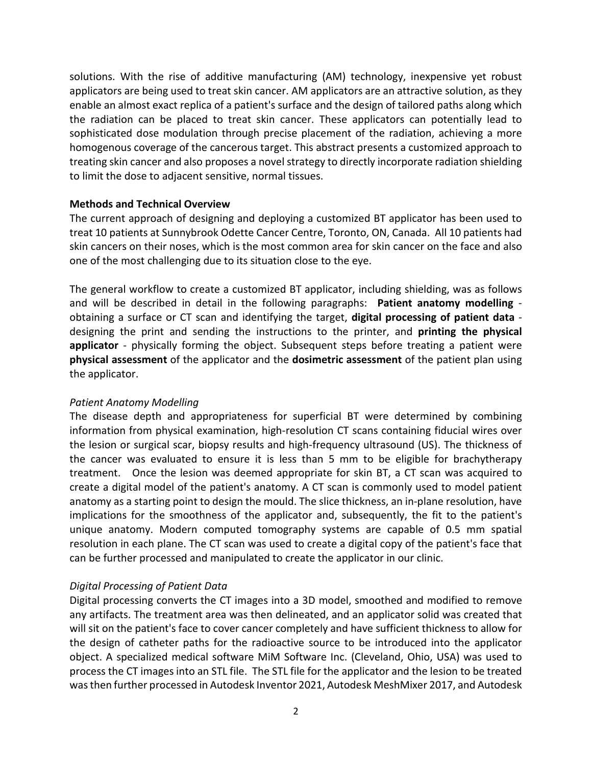solutions. With the rise of additive manufacturing (AM) technology, inexpensive yet robust applicators are being used to treat skin cancer. AM applicators are an attractive solution, as they enable an almost exact replica of a patient's surface and the design of tailored paths along which the radiation can be placed to treat skin cancer. These applicators can potentially lead to sophisticated dose modulation through precise placement of the radiation, achieving a more homogenous coverage of the cancerous target. This abstract presents a customized approach to treating skin cancer and also proposes a novel strategy to directly incorporate radiation shielding to limit the dose to adjacent sensitive, normal tissues.

## **Methods and Technical Overview**

The current approach of designing and deploying a customized BT applicator has been used to treat 10 patients at Sunnybrook Odette Cancer Centre, Toronto, ON, Canada. All 10 patients had skin cancers on their noses, which is the most common area for skin cancer on the face and also one of the most challenging due to its situation close to the eye.

The general workflow to create a customized BT applicator, including shielding, was as follows and will be described in detail in the following paragraphs: **Patient anatomy modelling** obtaining a surface or CT scan and identifying the target, **digital processing of patient data** designing the print and sending the instructions to the printer, and **printing the physical applicator** - physically forming the object. Subsequent steps before treating a patient were **physical assessment** of the applicator and the **dosimetric assessment** of the patient plan using the applicator.

#### *Patient Anatomy Modelling*

The disease depth and appropriateness for superficial BT were determined by combining information from physical examination, high-resolution CT scans containing fiducial wires over the lesion or surgical scar, biopsy results and high-frequency ultrasound (US). The thickness of the cancer was evaluated to ensure it is less than 5 mm to be eligible for brachytherapy treatment. Once the lesion was deemed appropriate for skin BT, a CT scan was acquired to create a digital model of the patient's anatomy. A CT scan is commonly used to model patient anatomy as a starting point to design the mould. The slice thickness, an in-plane resolution, have implications for the smoothness of the applicator and, subsequently, the fit to the patient's unique anatomy. Modern computed tomography systems are capable of 0.5 mm spatial resolution in each plane. The CT scan was used to create a digital copy of the patient's face that can be further processed and manipulated to create the applicator in our clinic.

# *Digital Processing of Patient Data*

Digital processing converts the CT images into a 3D model, smoothed and modified to remove any artifacts. The treatment area was then delineated, and an applicator solid was created that will sit on the patient's face to cover cancer completely and have sufficient thickness to allow for the design of catheter paths for the radioactive source to be introduced into the applicator object. A specialized medical software MiM Software Inc. (Cleveland, Ohio, USA) was used to process the CT images into an STL file. The STL file for the applicator and the lesion to be treated was then further processed in Autodesk Inventor 2021, Autodesk MeshMixer 2017, and Autodesk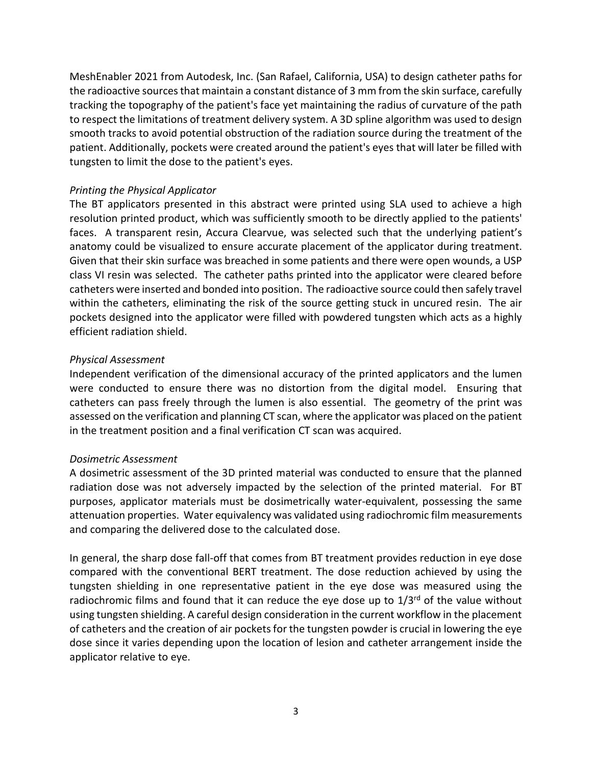MeshEnabler 2021 from Autodesk, Inc. (San Rafael, California, USA) to design catheter paths for the radioactive sources that maintain a constant distance of 3 mm from the skin surface, carefully tracking the topography of the patient's face yet maintaining the radius of curvature of the path to respect the limitations of treatment delivery system. A 3D spline algorithm was used to design smooth tracks to avoid potential obstruction of the radiation source during the treatment of the patient. Additionally, pockets were created around the patient's eyes that will later be filled with tungsten to limit the dose to the patient's eyes.

## *Printing the Physical Applicator*

The BT applicators presented in this abstract were printed using SLA used to achieve a high resolution printed product, which was sufficiently smooth to be directly applied to the patients' faces. A transparent resin, Accura Clearvue, was selected such that the underlying patient's anatomy could be visualized to ensure accurate placement of the applicator during treatment. Given that their skin surface was breached in some patients and there were open wounds, a USP class VI resin was selected. The catheter paths printed into the applicator were cleared before catheters were inserted and bonded into position. The radioactive source could then safely travel within the catheters, eliminating the risk of the source getting stuck in uncured resin. The air pockets designed into the applicator were filled with powdered tungsten which acts as a highly efficient radiation shield.

## *Physical Assessment*

Independent verification of the dimensional accuracy of the printed applicators and the lumen were conducted to ensure there was no distortion from the digital model. Ensuring that catheters can pass freely through the lumen is also essential. The geometry of the print was assessed on the verification and planning CT scan, where the applicator was placed on the patient in the treatment position and a final verification CT scan was acquired.

# *Dosimetric Assessment*

A dosimetric assessment of the 3D printed material was conducted to ensure that the planned radiation dose was not adversely impacted by the selection of the printed material. For BT purposes, applicator materials must be dosimetrically water-equivalent, possessing the same attenuation properties. Water equivalency was validated using radiochromic film measurements and comparing the delivered dose to the calculated dose.

In general, the sharp dose fall-off that comes from BT treatment provides reduction in eye dose compared with the conventional BERT treatment. The dose reduction achieved by using the tungsten shielding in one representative patient in the eye dose was measured using the radiochromic films and found that it can reduce the eye dose up to  $1/3^{rd}$  of the value without using tungsten shielding. A careful design consideration in the current workflow in the placement of catheters and the creation of air pockets for the tungsten powder is crucial in lowering the eye dose since it varies depending upon the location of lesion and catheter arrangement inside the applicator relative to eye.